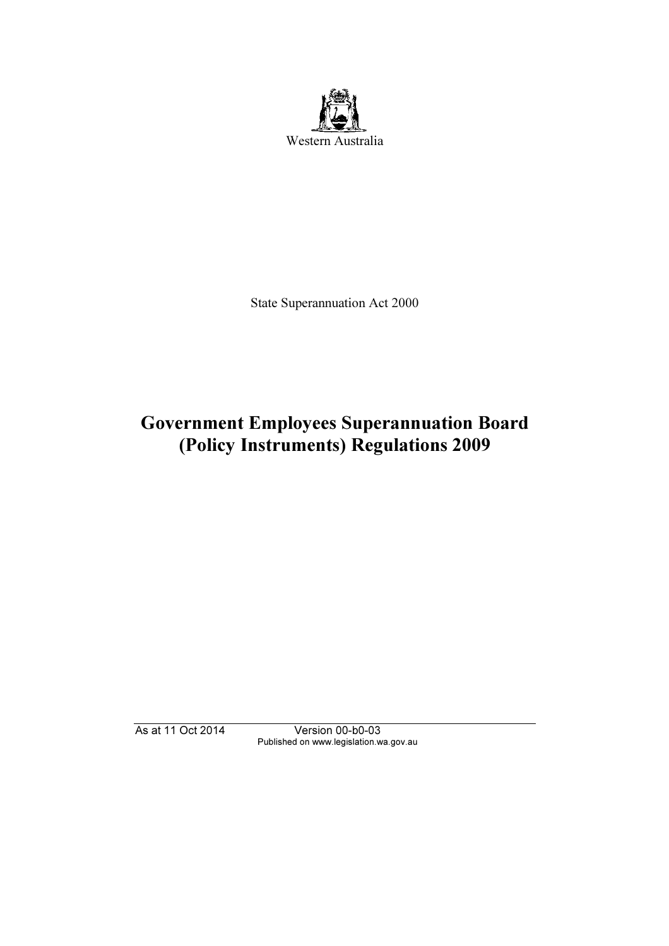

State Superannuation Act 2000

# Government Employees Superannuation Board (Policy Instruments) Regulations 2009

As at 11 Oct 2014 Version 00-b0-03 Published on www.legislation.wa.gov.au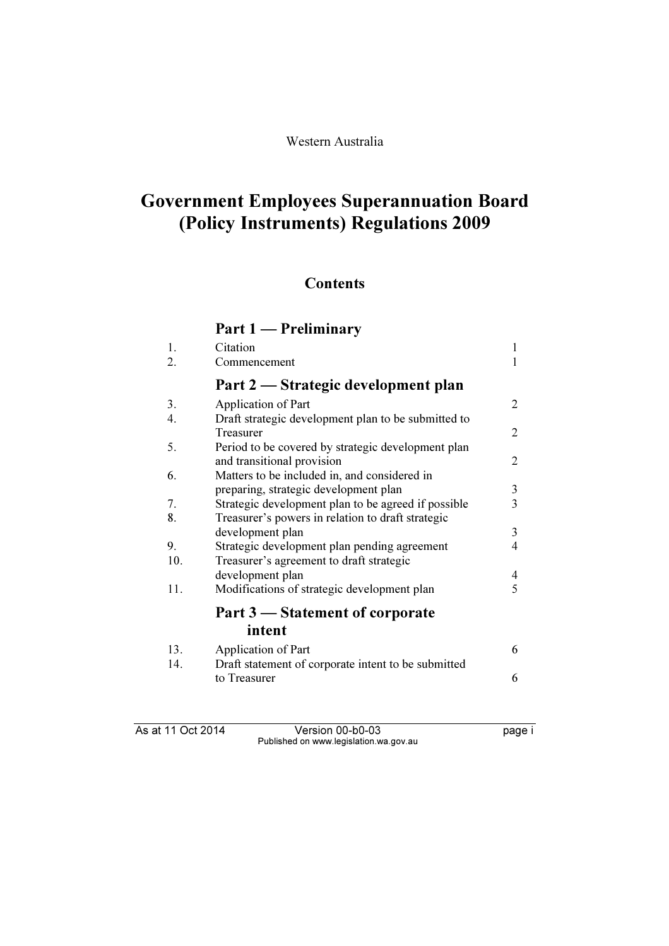# Government Employees Superannuation Board (Policy Instruments) Regulations 2009

### **Contents**

#### Part 1 — Preliminary 1. Citation 1 2. Commencement 1 Part 2 — Strategic development plan 3. Application of Part 2 4. Draft strategic development plan to be submitted to Treasurer 2 5. Period to be covered by strategic development plan and transitional provision 2 6. Matters to be included in, and considered in preparing, strategic development plan 3<br>Strategic development plan to be agreed if possible 3 7. Strategic development plan to be agreed if possible 3 8. Treasurer's powers in relation to draft strategic development plan 3 9. Strategic development plan pending agreement 4<br>10. Treasurer's agreement to draft strategic Treasurer's agreement to draft strategic development plan<br>Modifications of strategic development plan<br>5 11. Modifications of strategic development plan Part 3 — Statement of corporate intent 13. Application of Part 6 14. Draft statement of corporate intent to be submitted to Treasurer 6

As at 11 Oct 2014 Version 00-b0-03 page i Published on www.legislation.wa.gov.au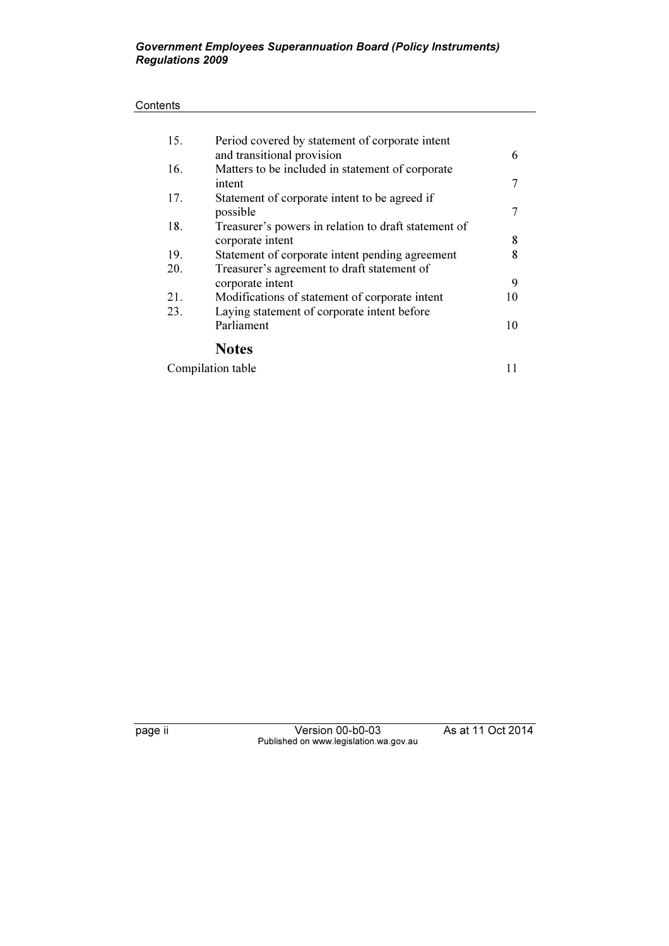#### Government Employees Superannuation Board (Policy Instruments) Regulations 2009

#### **Contents**

| 15. | Period covered by statement of corporate intent      |    |
|-----|------------------------------------------------------|----|
|     | and transitional provision                           | 6  |
| 16. | Matters to be included in statement of corporate     |    |
|     | intent                                               |    |
| 17. | Statement of corporate intent to be agreed if        |    |
|     | possible                                             |    |
| 18. | Treasurer's powers in relation to draft statement of |    |
|     | corporate intent                                     | 8  |
| 19. | Statement of corporate intent pending agreement      | 8  |
| 20. | Treasurer's agreement to draft statement of          |    |
|     | corporate intent                                     | 9  |
| 21. | Modifications of statement of corporate intent       | 10 |
| 23. | Laying statement of corporate intent before          |    |
|     | Parliament                                           | 10 |
|     | <b>Notes</b>                                         |    |
|     |                                                      |    |

Compilation table 11

page ii Version 00-b0-03 As at 11 Oct 2014 Published on www.legislation.wa.gov.au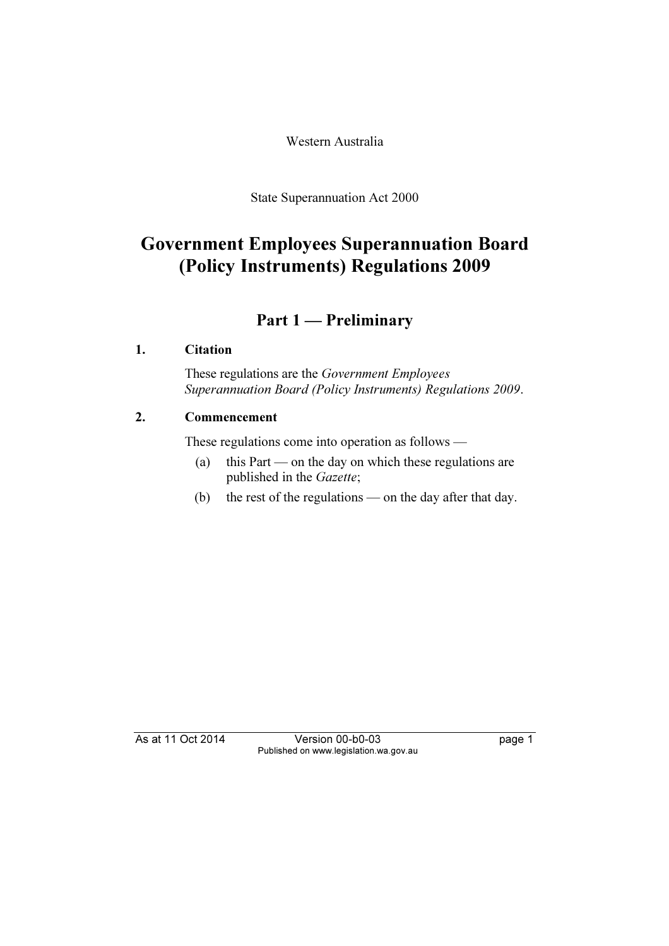Western Australia

State Superannuation Act 2000

# Government Employees Superannuation Board (Policy Instruments) Regulations 2009

## Part 1 — Preliminary

### 1. Citation

 These regulations are the Government Employees Superannuation Board (Policy Instruments) Regulations 2009.

### 2. Commencement

These regulations come into operation as follows —

- (a) this Part on the day on which these regulations are published in the Gazette;
- (b) the rest of the regulations on the day after that day.

As at 11 Oct 2014 Version 00-b0-03 page 1 Published on www.legislation.wa.gov.au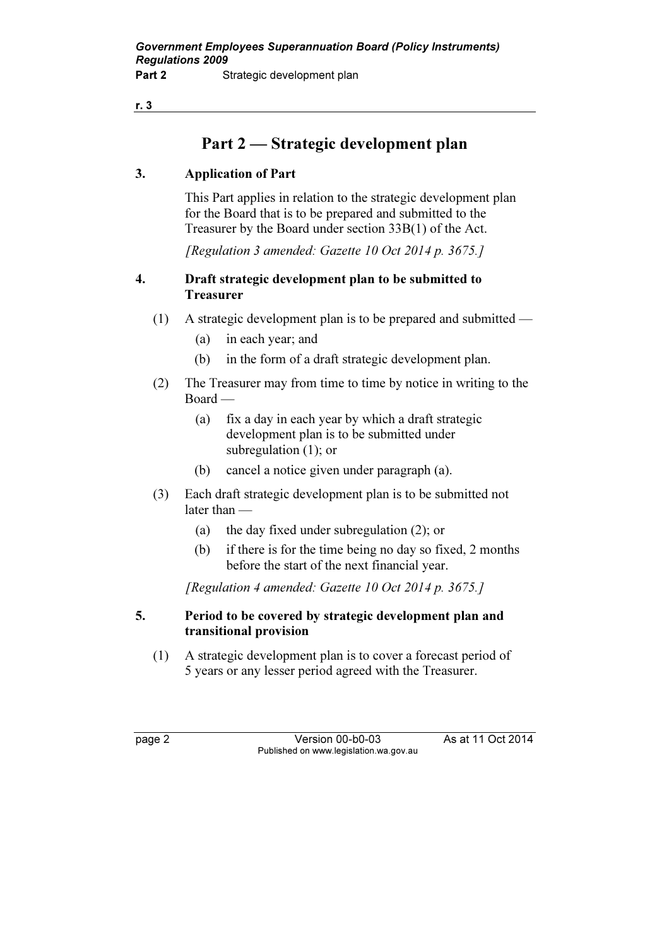# Part 2 — Strategic development plan

### 3. Application of Part

 This Part applies in relation to the strategic development plan for the Board that is to be prepared and submitted to the Treasurer by the Board under section 33B(1) of the Act.

[Regulation 3 amended: Gazette 10 Oct 2014 p. 3675.]

#### 4. Draft strategic development plan to be submitted to **Treasurer**

- (1) A strategic development plan is to be prepared and submitted
	- (a) in each year; and
	- (b) in the form of a draft strategic development plan.
- (2) The Treasurer may from time to time by notice in writing to the Board —
	- (a) fix a day in each year by which a draft strategic development plan is to be submitted under subregulation (1); or
	- (b) cancel a notice given under paragraph (a).
- (3) Each draft strategic development plan is to be submitted not later than —
	- (a) the day fixed under subregulation (2); or
	- (b) if there is for the time being no day so fixed, 2 months before the start of the next financial year.

[Regulation 4 amended: Gazette 10 Oct 2014 p. 3675.]

### 5. Period to be covered by strategic development plan and transitional provision

 (1) A strategic development plan is to cover a forecast period of 5 years or any lesser period agreed with the Treasurer.

page 2 Version 00-b0-03 As at 11 Oct 2014 Published on www.legislation.wa.gov.au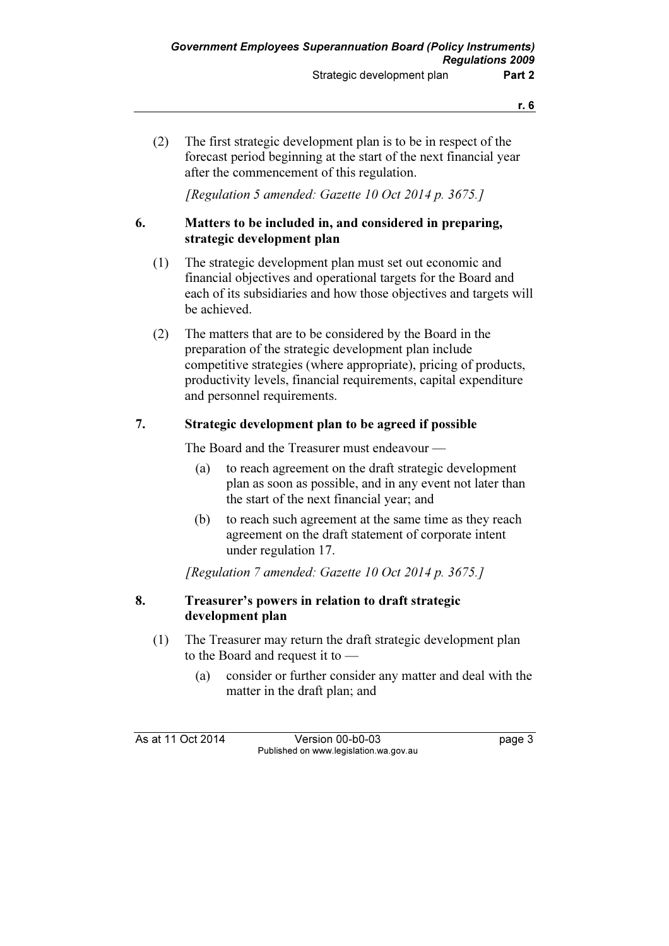(2) The first strategic development plan is to be in respect of the forecast period beginning at the start of the next financial year after the commencement of this regulation.

[Regulation 5 amended: Gazette 10 Oct 2014 p. 3675.]

#### 6. Matters to be included in, and considered in preparing, strategic development plan

- (1) The strategic development plan must set out economic and financial objectives and operational targets for the Board and each of its subsidiaries and how those objectives and targets will be achieved.
- (2) The matters that are to be considered by the Board in the preparation of the strategic development plan include competitive strategies (where appropriate), pricing of products, productivity levels, financial requirements, capital expenditure and personnel requirements.

#### 7. Strategic development plan to be agreed if possible

The Board and the Treasurer must endeavour —

- (a) to reach agreement on the draft strategic development plan as soon as possible, and in any event not later than the start of the next financial year; and
- (b) to reach such agreement at the same time as they reach agreement on the draft statement of corporate intent under regulation 17.

[Regulation 7 amended: Gazette 10 Oct 2014 p. 3675.]

#### 8. Treasurer's powers in relation to draft strategic development plan

- (1) The Treasurer may return the draft strategic development plan to the Board and request it to —
	- (a) consider or further consider any matter and deal with the matter in the draft plan; and

As at 11 Oct 2014 Version 00-b0-03 page 3 Published on www.legislation.wa.gov.au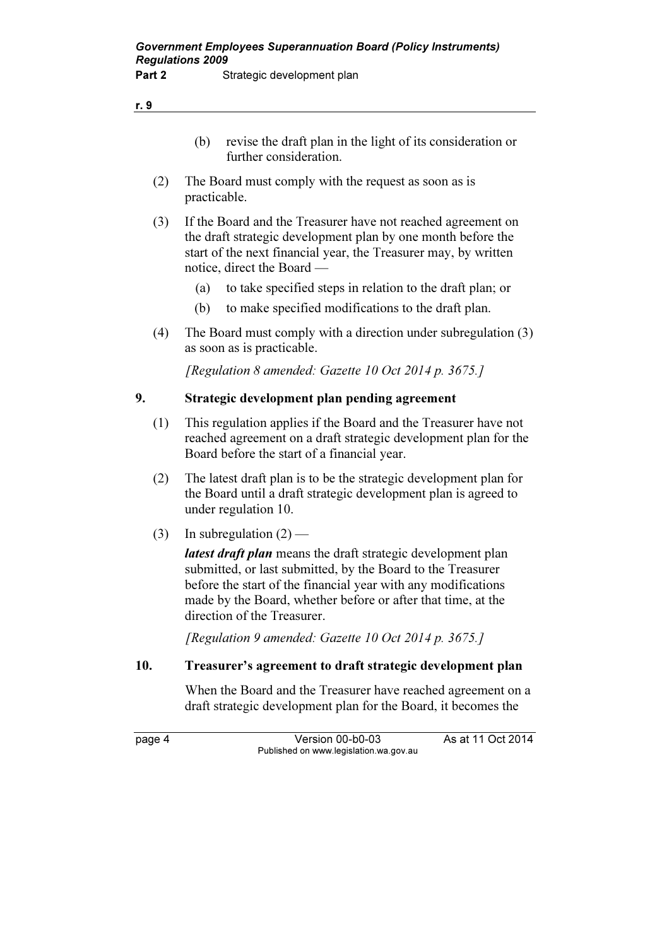| revise the draft plan in the light of its consideration or |
|------------------------------------------------------------|
| further consideration.                                     |

- (2) The Board must comply with the request as soon as is practicable.
- (3) If the Board and the Treasurer have not reached agreement on the draft strategic development plan by one month before the start of the next financial year, the Treasurer may, by written notice, direct the Board —
	- (a) to take specified steps in relation to the draft plan; or
	- (b) to make specified modifications to the draft plan.
- (4) The Board must comply with a direction under subregulation (3) as soon as is practicable.

[Regulation 8 amended: Gazette 10 Oct 2014 p. 3675.]

#### 9. Strategic development plan pending agreement

- (1) This regulation applies if the Board and the Treasurer have not reached agreement on a draft strategic development plan for the Board before the start of a financial year.
- (2) The latest draft plan is to be the strategic development plan for the Board until a draft strategic development plan is agreed to under regulation 10.
- (3) In subregulation  $(2)$  —

latest draft plan means the draft strategic development plan submitted, or last submitted, by the Board to the Treasurer before the start of the financial year with any modifications made by the Board, whether before or after that time, at the direction of the Treasurer.

[Regulation 9 amended: Gazette 10 Oct 2014 p. 3675.]

#### 10. Treasurer's agreement to draft strategic development plan

 When the Board and the Treasurer have reached agreement on a draft strategic development plan for the Board, it becomes the

r. 9

page 4 Version 00-b0-03 As at 11 Oct 2014 Published on www.legislation.wa.gov.au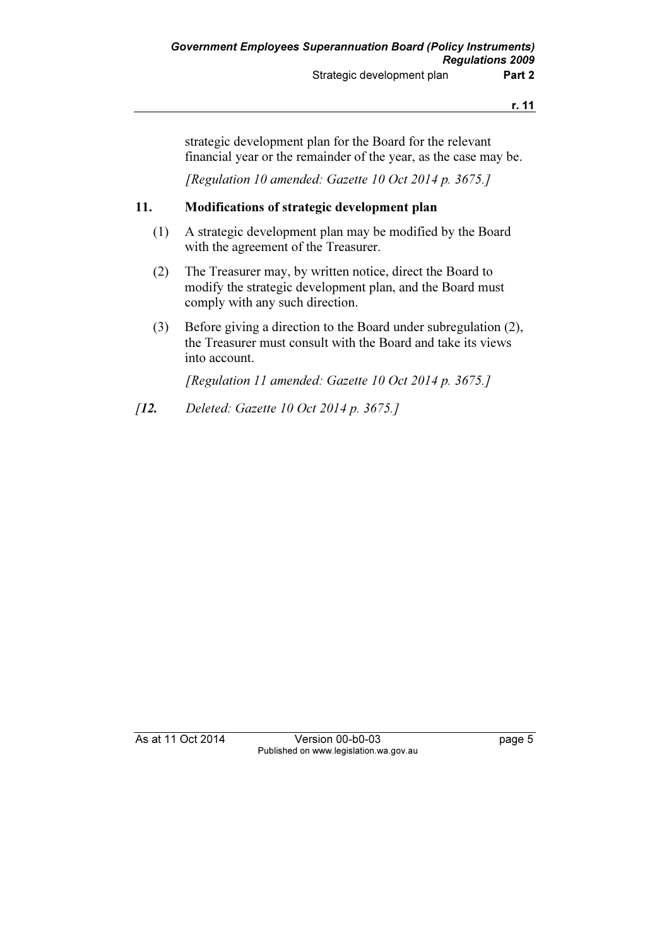strategic development plan for the Board for the relevant financial year or the remainder of the year, as the case may be.

[Regulation 10 amended: Gazette 10 Oct 2014 p. 3675.]

#### 11. Modifications of strategic development plan

- (1) A strategic development plan may be modified by the Board with the agreement of the Treasurer.
- (2) The Treasurer may, by written notice, direct the Board to modify the strategic development plan, and the Board must comply with any such direction.
- (3) Before giving a direction to the Board under subregulation (2), the Treasurer must consult with the Board and take its views into account.

[Regulation 11 amended: Gazette 10 Oct 2014 p. 3675.]

[12. Deleted: Gazette 10 Oct 2014 p. 3675.]

As at 11 Oct 2014 Version 00-b0-03 page 5 Published on www.legislation.wa.gov.au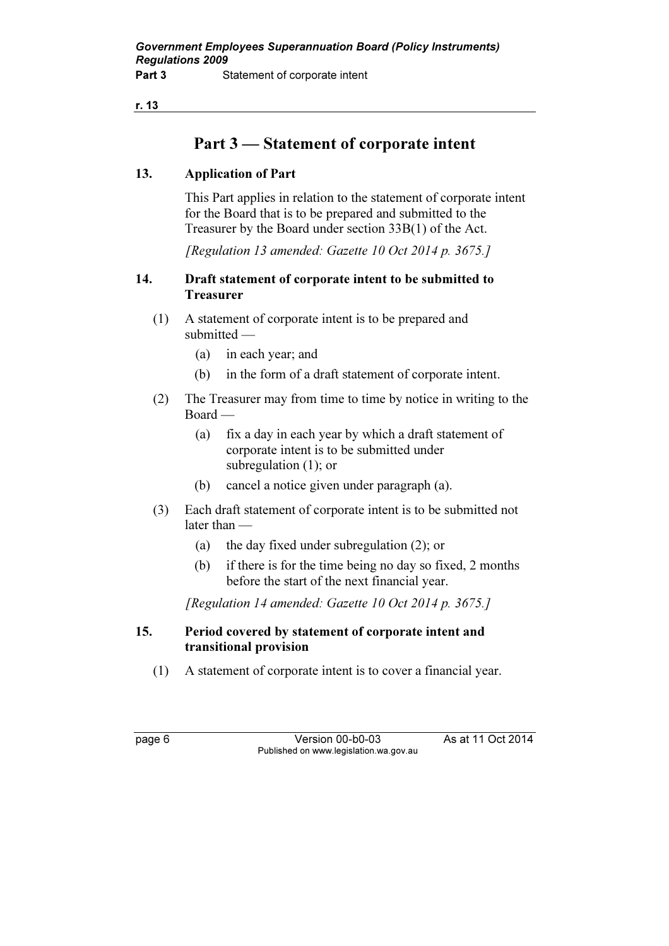## Part 3 — Statement of corporate intent

### 13. Application of Part

 This Part applies in relation to the statement of corporate intent for the Board that is to be prepared and submitted to the Treasurer by the Board under section 33B(1) of the Act.

[Regulation 13 amended: Gazette 10 Oct 2014 p. 3675.]

#### 14. Draft statement of corporate intent to be submitted to Treasurer

- (1) A statement of corporate intent is to be prepared and submitted —
	- (a) in each year; and
	- (b) in the form of a draft statement of corporate intent.
- (2) The Treasurer may from time to time by notice in writing to the Board —
	- (a) fix a day in each year by which a draft statement of corporate intent is to be submitted under subregulation (1); or
	- (b) cancel a notice given under paragraph (a).
- (3) Each draft statement of corporate intent is to be submitted not later than —
	- (a) the day fixed under subregulation (2); or
	- (b) if there is for the time being no day so fixed, 2 months before the start of the next financial year.

[Regulation 14 amended: Gazette 10 Oct 2014 p. 3675.]

#### 15. Period covered by statement of corporate intent and transitional provision

(1) A statement of corporate intent is to cover a financial year.

page 6 Version 00-b0-03 As at 11 Oct 2014 Published on www.legislation.wa.gov.au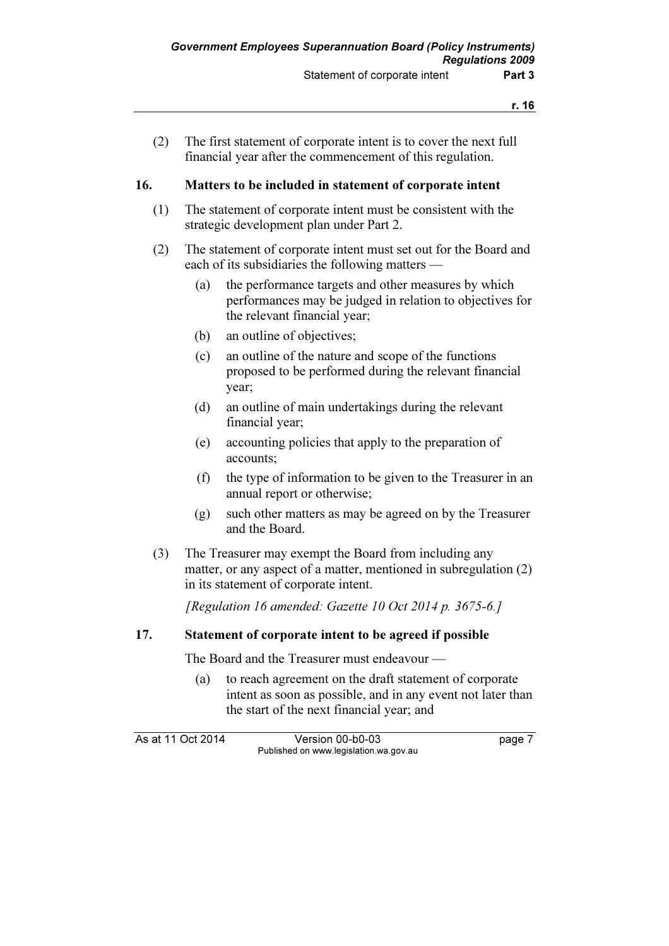(2) The first statement of corporate intent is to cover the next full financial year after the commencement of this regulation.

#### 16. Matters to be included in statement of corporate intent

- (1) The statement of corporate intent must be consistent with the strategic development plan under Part 2.
- (2) The statement of corporate intent must set out for the Board and each of its subsidiaries the following matters —
	- (a) the performance targets and other measures by which performances may be judged in relation to objectives for the relevant financial year;
	- (b) an outline of objectives;
	- (c) an outline of the nature and scope of the functions proposed to be performed during the relevant financial year;
	- (d) an outline of main undertakings during the relevant financial year;
	- (e) accounting policies that apply to the preparation of accounts;
	- (f) the type of information to be given to the Treasurer in an annual report or otherwise;
	- (g) such other matters as may be agreed on by the Treasurer and the Board.
- (3) The Treasurer may exempt the Board from including any matter, or any aspect of a matter, mentioned in subregulation (2) in its statement of corporate intent.

[Regulation 16 amended: Gazette 10 Oct 2014 p. 3675-6.]

#### 17. Statement of corporate intent to be agreed if possible

The Board and the Treasurer must endeavour —

 (a) to reach agreement on the draft statement of corporate intent as soon as possible, and in any event not later than the start of the next financial year; and

As at 11 Oct 2014 Version 00-b0-03 page 7 Published on www.legislation.wa.gov.au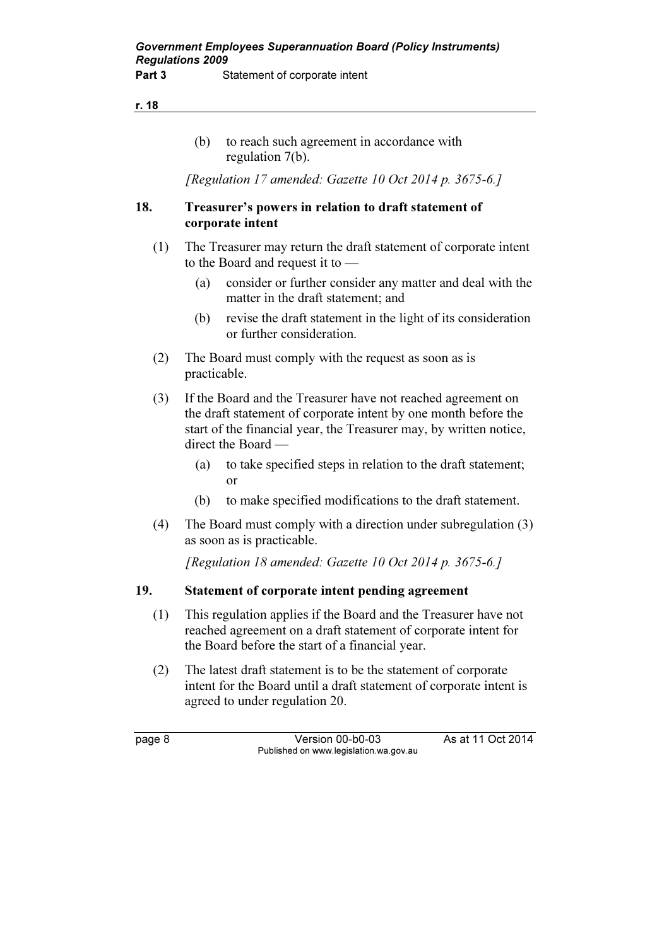(b) to reach such agreement in accordance with regulation 7(b).

[Regulation 17 amended: Gazette 10 Oct 2014 p. 3675-6.]

#### 18. Treasurer's powers in relation to draft statement of corporate intent

- (1) The Treasurer may return the draft statement of corporate intent to the Board and request it to —
	- (a) consider or further consider any matter and deal with the matter in the draft statement; and
	- (b) revise the draft statement in the light of its consideration or further consideration.
- (2) The Board must comply with the request as soon as is practicable.
- (3) If the Board and the Treasurer have not reached agreement on the draft statement of corporate intent by one month before the start of the financial year, the Treasurer may, by written notice, direct the Board —
	- (a) to take specified steps in relation to the draft statement; or
	- (b) to make specified modifications to the draft statement.
- (4) The Board must comply with a direction under subregulation (3) as soon as is practicable.

[Regulation 18 amended: Gazette 10 Oct 2014 p. 3675-6.]

#### 19. Statement of corporate intent pending agreement

- (1) This regulation applies if the Board and the Treasurer have not reached agreement on a draft statement of corporate intent for the Board before the start of a financial year.
- (2) The latest draft statement is to be the statement of corporate intent for the Board until a draft statement of corporate intent is agreed to under regulation 20.

page 8 Version 00-b0-03 As at 11 Oct 2014 Published on www.legislation.wa.gov.au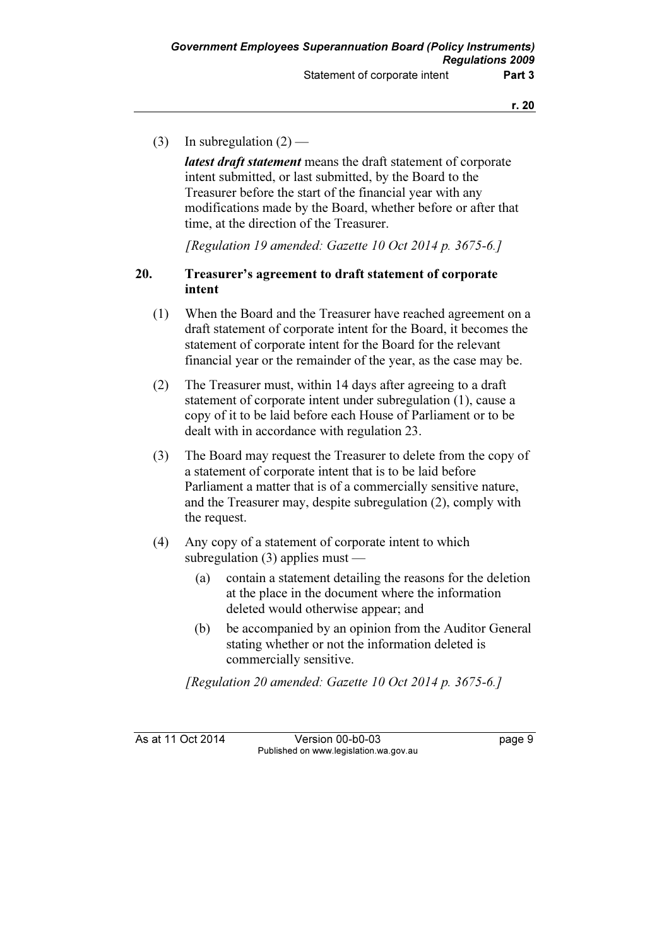(3) In subregulation  $(2)$  —

latest draft statement means the draft statement of corporate intent submitted, or last submitted, by the Board to the Treasurer before the start of the financial year with any modifications made by the Board, whether before or after that time, at the direction of the Treasurer.

[Regulation 19 amended: Gazette 10 Oct 2014 p. 3675-6.]

#### 20. Treasurer's agreement to draft statement of corporate intent

- (1) When the Board and the Treasurer have reached agreement on a draft statement of corporate intent for the Board, it becomes the statement of corporate intent for the Board for the relevant financial year or the remainder of the year, as the case may be.
- (2) The Treasurer must, within 14 days after agreeing to a draft statement of corporate intent under subregulation (1), cause a copy of it to be laid before each House of Parliament or to be dealt with in accordance with regulation 23.
- (3) The Board may request the Treasurer to delete from the copy of a statement of corporate intent that is to be laid before Parliament a matter that is of a commercially sensitive nature, and the Treasurer may, despite subregulation (2), comply with the request.
- (4) Any copy of a statement of corporate intent to which subregulation (3) applies must —
	- (a) contain a statement detailing the reasons for the deletion at the place in the document where the information deleted would otherwise appear; and
	- (b) be accompanied by an opinion from the Auditor General stating whether or not the information deleted is commercially sensitive.

[Regulation 20 amended: Gazette 10 Oct 2014 p. 3675-6.]

As at 11 Oct 2014 Version 00-b0-03 page 9 Published on www.legislation.wa.gov.au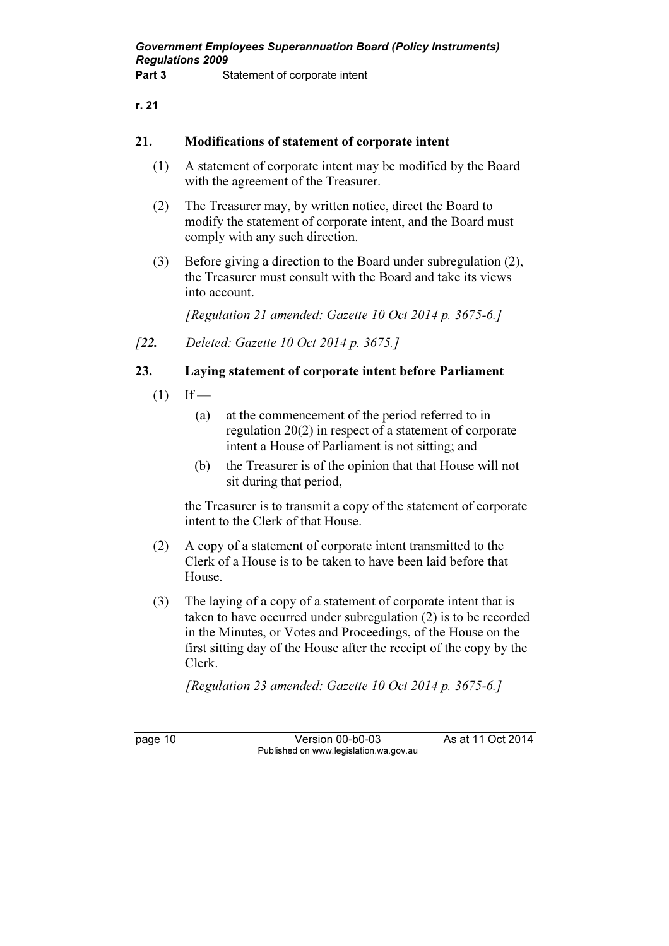#### 21. Modifications of statement of corporate intent

- (1) A statement of corporate intent may be modified by the Board with the agreement of the Treasurer.
- (2) The Treasurer may, by written notice, direct the Board to modify the statement of corporate intent, and the Board must comply with any such direction.
- (3) Before giving a direction to the Board under subregulation (2), the Treasurer must consult with the Board and take its views into account.

[Regulation 21 amended: Gazette 10 Oct 2014 p. 3675-6.]

[22. Deleted: Gazette 10 Oct 2014 p. 3675.]

### 23. Laying statement of corporate intent before Parliament

- $(1)$  If
	- (a) at the commencement of the period referred to in regulation 20(2) in respect of a statement of corporate intent a House of Parliament is not sitting; and
	- (b) the Treasurer is of the opinion that that House will not sit during that period,

 the Treasurer is to transmit a copy of the statement of corporate intent to the Clerk of that House.

- (2) A copy of a statement of corporate intent transmitted to the Clerk of a House is to be taken to have been laid before that House.
- (3) The laying of a copy of a statement of corporate intent that is taken to have occurred under subregulation (2) is to be recorded in the Minutes, or Votes and Proceedings, of the House on the first sitting day of the House after the receipt of the copy by the Clerk.

[Regulation 23 amended: Gazette 10 Oct 2014 p. 3675-6.]

page 10 Version 00-b0-03 As at 11 Oct 2014 Published on www.legislation.wa.gov.au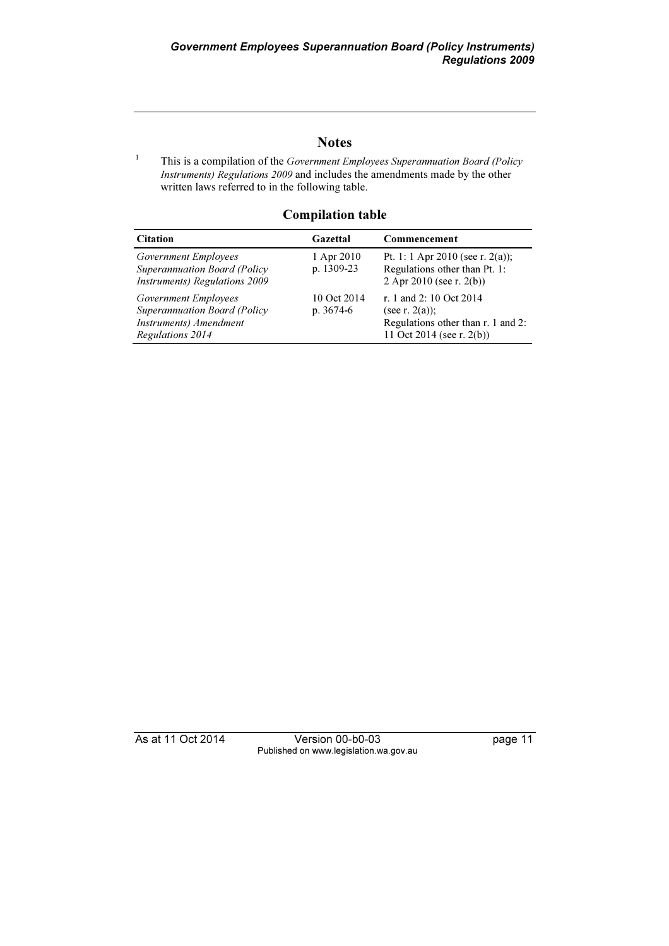#### **Notes**

1 This is a compilation of the Government Employees Superannuation Board (Policy Instruments) Regulations 2009 and includes the amendments made by the other written laws referred to in the following table.

#### Compilation table

| <b>Citation</b>                                                                                           | Gazettal                  | Commencement                                                                                                    |
|-----------------------------------------------------------------------------------------------------------|---------------------------|-----------------------------------------------------------------------------------------------------------------|
| Government Employees<br>Superannuation Board (Policy<br>Instruments) Regulations 2009                     | 1 Apr 2010<br>p. 1309-23  | Pt. 1: 1 Apr 2010 (see r. 2(a));<br>Regulations other than Pt. 1:<br>2 Apr 2010 (see r. $2(b)$ )                |
| Government Employees<br><b>Superannuation Board (Policy</b><br>Instruments) Amendment<br>Regulations 2014 | 10 Oct 2014<br>$p.3674-6$ | r. 1 and 2: 10 Oct 2014<br>(see r. $2(a)$ );<br>Regulations other than r. 1 and 2:<br>11 Oct 2014 (see r. 2(b)) |

As at 11 Oct 2014 Version 00-b0-03 page 11 Published on www.legislation.wa.gov.au